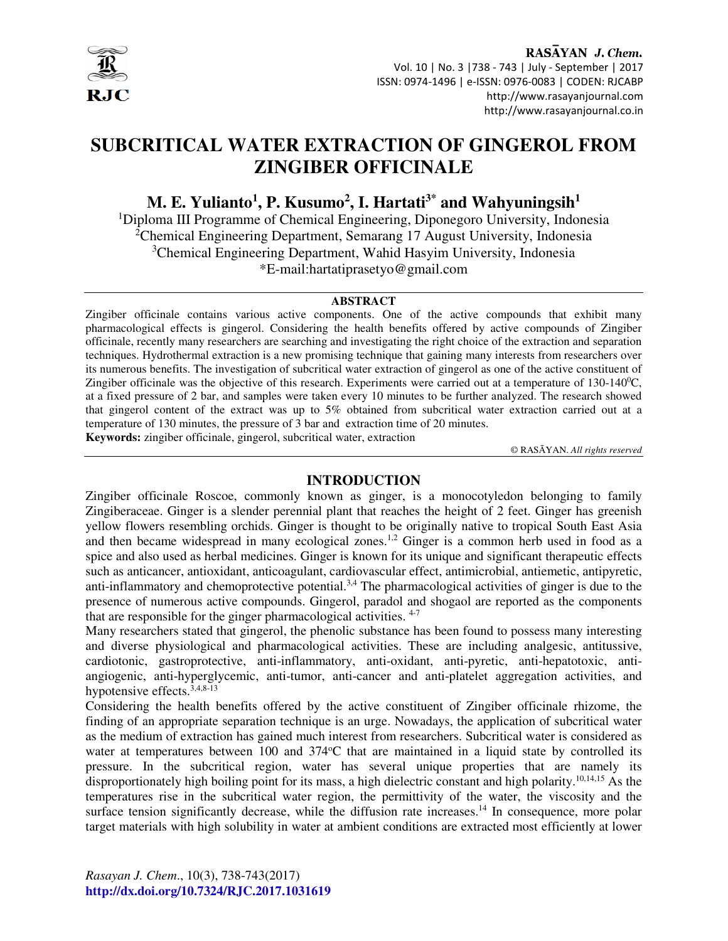

RASAYAN J. Chem. Vol. 10 | No. 3 |738 - 743 | July - September | 2017 ISSN: 0974-1496 | e-ISSN: 0976-0083 | CODEN: RJCABP http://www.rasayanjournal.com http://www.rasayanjournal.co.in

# **SUBCRITICAL WATER EXTRACTION OF GINGEROL FROM ZINGIBER OFFICINALE**

# **M. E. Yulianto<sup>1</sup> , P. Kusumo<sup>2</sup> , I. Hartati3\* and Wahyuningsih<sup>1</sup>**

<sup>1</sup>Diploma III Programme of Chemical Engineering, Diponegoro University, Indonesia <sup>2</sup>Chemical Engineering Department, Semarang 17 August University, Indonesia <sup>3</sup>Chemical Engineering Department, Wahid Hasyim University, Indonesia \*E-mail:hartatiprasetyo@gmail.com

### **ABSTRACT**

Zingiber officinale contains various active components. One of the active compounds that exhibit many pharmacological effects is gingerol. Considering the health benefits offered by active compounds of Zingiber officinale, recently many researchers are searching and investigating the right choice of the extraction and separation techniques. Hydrothermal extraction is a new promising technique that gaining many interests from researchers over its numerous benefits. The investigation of subcritical water extraction of gingerol as one of the active constituent of Zingiber officinale was the objective of this research. Experiments were carried out at a temperature of  $130-140^{\circ}$ C, at a fixed pressure of 2 bar, and samples were taken every 10 minutes to be further analyzed. The research showed that gingerol content of the extract was up to 5% obtained from subcritical water extraction carried out at a temperature of 130 minutes, the pressure of 3 bar and extraction time of 20 minutes.

**Keywords:** zingiber officinale, gingerol, subcritical water, extraction

© RASĀYAN. *All rights reserved*

# **INTRODUCTION**

Zingiber officinale Roscoe, commonly known as ginger, is a monocotyledon belonging to family Zingiberaceae. Ginger is a slender perennial plant that reaches the height of 2 feet. Ginger has greenish yellow flowers resembling orchids. Ginger is thought to be originally native to tropical South East Asia and then became widespread in many ecological zones.<sup>1,2</sup> Ginger is a common herb used in food as a spice and also used as herbal medicines. Ginger is known for its unique and significant therapeutic effects such as anticancer, antioxidant, anticoagulant, cardiovascular effect, antimicrobial, antiemetic, antipyretic, anti-inflammatory and chemoprotective potential.<sup>3,4</sup> The pharmacological activities of ginger is due to the presence of numerous active compounds. Gingerol, paradol and shogaol are reported as the components that are responsible for the ginger pharmacological activities.  $4-7$ 

Many researchers stated that gingerol, the phenolic substance has been found to possess many interesting and diverse physiological and pharmacological activities. These are including analgesic, antitussive, cardiotonic, gastroprotective, anti-inflammatory, anti-oxidant, anti-pyretic, anti-hepatotoxic, antiangiogenic, anti-hyperglycemic, anti-tumor, anti-cancer and anti-platelet aggregation activities, and hypotensive effects.3,4,8-13

Considering the health benefits offered by the active constituent of Zingiber officinale rhizome, the finding of an appropriate separation technique is an urge. Nowadays, the application of subcritical water as the medium of extraction has gained much interest from researchers. Subcritical water is considered as water at temperatures between 100 and 374°C that are maintained in a liquid state by controlled its pressure. In the subcritical region, water has several unique properties that are namely its disproportionately high boiling point for its mass, a high dielectric constant and high polarity.<sup>10,14,15</sup> As the temperatures rise in the subcritical water region, the permittivity of the water, the viscosity and the surface tension significantly decrease, while the diffusion rate increases.<sup>14</sup> In consequence, more polar target materials with high solubility in water at ambient conditions are extracted most efficiently at lower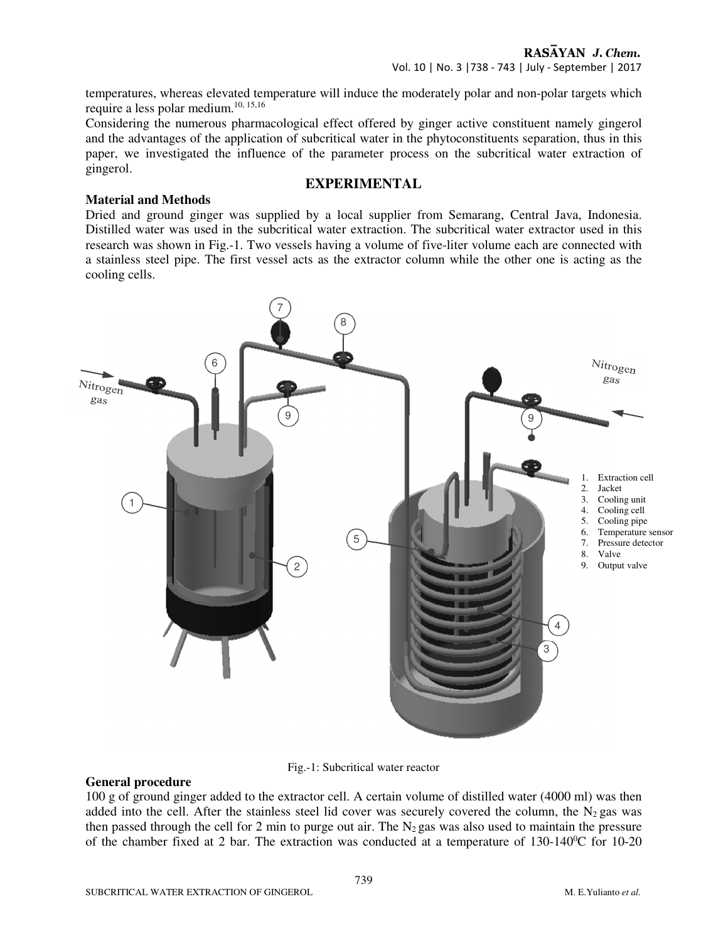temperatures, whereas elevated temperature will induce the moderately polar and non-polar targets which require a less polar medium.10, 15,16

Considering the numerous pharmacological effect offered by ginger active constituent namely gingerol and the advantages of the application of subcritical water in the phytoconstituents separation, thus in this paper, we investigated the influence of the parameter process on the subcritical water extraction of gingerol.

# **EXPERIMENTAL**

#### **Material and Methods**

Dried and ground ginger was supplied by a local supplier from Semarang, Central Java, Indonesia. Distilled water was used in the subcritical water extraction. The subcritical water extractor used in this research was shown in Fig.-1. Two vessels having a volume of five-liter volume each are connected with a stainless steel pipe. The first vessel acts as the extractor column while the other one is acting as the cooling cells.





#### **General procedure**

100 g of ground ginger added to the extractor cell. A certain volume of distilled water (4000 ml) was then added into the cell. After the stainless steel lid cover was securely covered the column, the  $N_2$  gas was then passed through the cell for 2 min to purge out air. The  $N_2$  gas was also used to maintain the pressure of the chamber fixed at 2 bar. The extraction was conducted at a temperature of  $130-140^{\circ}$ C for 10-20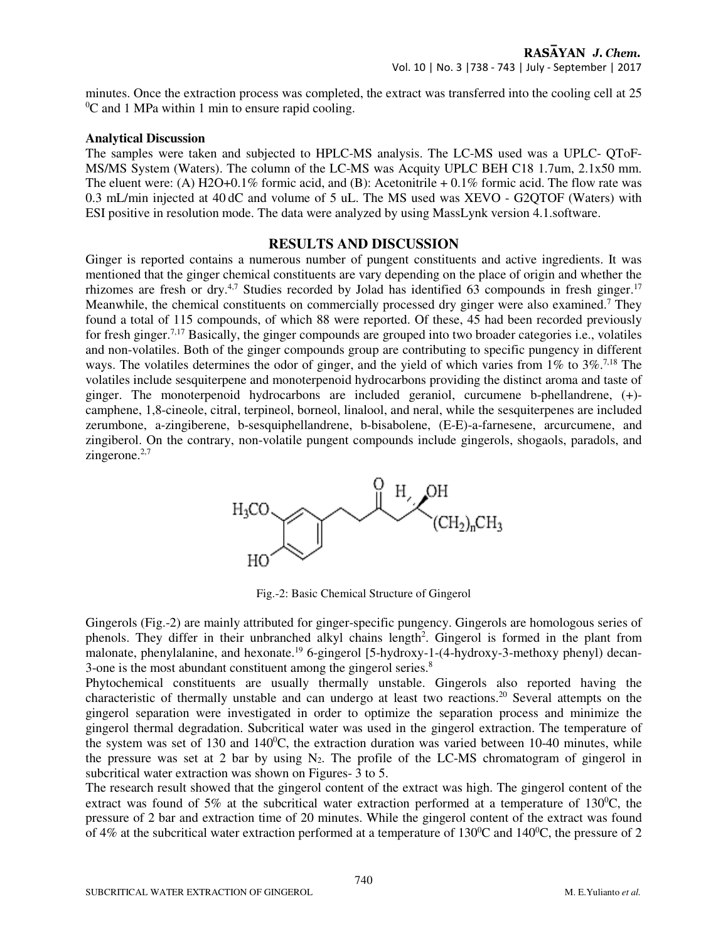minutes. Once the extraction process was completed, the extract was transferred into the cooling cell at 25  $\rm{^{0}C}$  and 1 MPa within 1 min to ensure rapid cooling.

#### **Analytical Discussion**

The samples were taken and subjected to HPLC-MS analysis. The LC-MS used was a UPLC- QToF-MS/MS System (Waters). The column of the LC-MS was Acquity UPLC BEH C18 1.7um, 2.1x50 mm. The eluent were: (A) H2O+0.1% formic acid, and (B): Acetonitrile  $+0.1\%$  formic acid. The flow rate was 0.3 mL/min injected at 40 dC and volume of 5 uL. The MS used was XEVO - G2QTOF (Waters) with ESI positive in resolution mode. The data were analyzed by using MassLynk version 4.1.software.

# **RESULTS AND DISCUSSION**

Ginger is reported contains a numerous number of pungent constituents and active ingredients. It was mentioned that the ginger chemical constituents are vary depending on the place of origin and whether the rhizomes are fresh or dry.<sup>4,7</sup> Studies recorded by Jolad has identified 63 compounds in fresh ginger.<sup>17</sup> Meanwhile, the chemical constituents on commercially processed dry ginger were also examined.<sup>7</sup> They found a total of 115 compounds, of which 88 were reported. Of these, 45 had been recorded previously for fresh ginger.7,17 Basically, the ginger compounds are grouped into two broader categories i.e., volatiles and non-volatiles. Both of the ginger compounds group are contributing to specific pungency in different ways. The volatiles determines the odor of ginger, and the yield of which varies from  $1\%$  to  $3\%$ .<sup>7,18</sup> The volatiles include sesquiterpene and monoterpenoid hydrocarbons providing the distinct aroma and taste of ginger. The monoterpenoid hydrocarbons are included geraniol, curcumene b-phellandrene, (+) camphene, 1,8-cineole, citral, terpineol, borneol, linalool, and neral, while the sesquiterpenes are included zerumbone, a-zingiberene, b-sesquiphellandrene, b-bisabolene, (E-E)-a-farnesene, arcurcumene, and zingiberol. On the contrary, non-volatile pungent compounds include gingerols, shogaols, paradols, and zingerone. $2,7$ 



Fig.-2: Basic Chemical Structure of Gingerol

Gingerols (Fig.-2) are mainly attributed for ginger-specific pungency. Gingerols are homologous series of phenols. They differ in their unbranched alkyl chains length<sup>2</sup>. Gingerol is formed in the plant from malonate, phenylalanine, and hexonate.<sup>19</sup> 6-gingerol [5-hydroxy-1-(4-hydroxy-3-methoxy phenyl) decan-3-one is the most abundant constituent among the gingerol series.<sup>8</sup>

Phytochemical constituents are usually thermally unstable. Gingerols also reported having the characteristic of thermally unstable and can undergo at least two reactions.<sup>20</sup> Several attempts on the gingerol separation were investigated in order to optimize the separation process and minimize the gingerol thermal degradation. Subcritical water was used in the gingerol extraction. The temperature of the system was set of 130 and  $140^{\circ}$ C, the extraction duration was varied between 10-40 minutes, while the pressure was set at 2 bar by using  $N_2$ . The profile of the LC-MS chromatogram of gingerol in subcritical water extraction was shown on Figures- 3 to 5.

The research result showed that the gingerol content of the extract was high. The gingerol content of the extract was found of 5% at the subcritical water extraction performed at a temperature of  $130^{\circ}$ C, the pressure of 2 bar and extraction time of 20 minutes. While the gingerol content of the extract was found of 4% at the subcritical water extraction performed at a temperature of  $130^{\circ}$ C and  $140^{\circ}$ C, the pressure of 2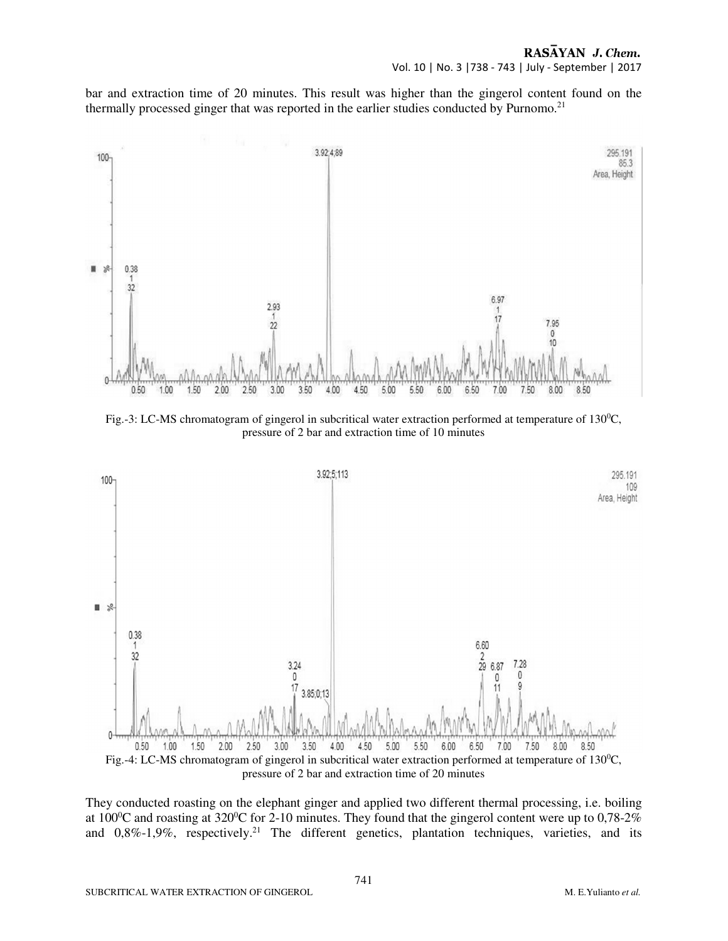bar and extraction time of 20 minutes. This result was higher than the gingerol content found on the thermally processed ginger that was reported in the earlier studies conducted by Purnomo.<sup>21</sup>



Fig.-3: LC-MS chromatogram of gingerol in subcritical water extraction performed at temperature of  $130^{\circ}$ C, pressure of 2 bar and extraction time of 10 minutes



They conducted roasting on the elephant ginger and applied two different thermal processing, i.e. boiling at  $100^{\circ}$ C and roasting at  $320^{\circ}$ C for 2-10 minutes. They found that the gingerol content were up to 0,78-2% and  $0,8\%$ -1,9%, respectively.<sup>21</sup> The different genetics, plantation techniques, varieties, and its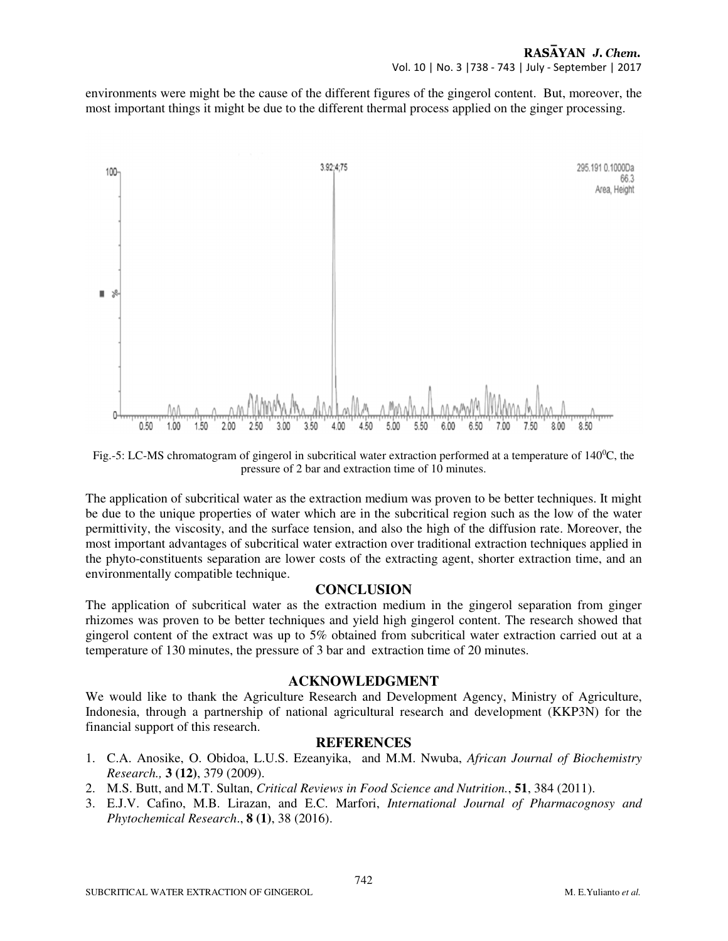### RASAYAN J. Chem. Vol. 10 | No. 3 |738 - 743 | July - September | 2017

environments were might be the cause of the different figures of the gingerol content. But, moreover, the most important things it might be due to the different thermal process applied on the ginger processing.



Fig.-5: LC-MS chromatogram of gingerol in subcritical water extraction performed at a temperature of 140<sup>0</sup>C, the pressure of 2 bar and extraction time of 10 minutes.

The application of subcritical water as the extraction medium was proven to be better techniques. It might be due to the unique properties of water which are in the subcritical region such as the low of the water permittivity, the viscosity, and the surface tension, and also the high of the diffusion rate. Moreover, the most important advantages of subcritical water extraction over traditional extraction techniques applied in the phyto-constituents separation are lower costs of the extracting agent, shorter extraction time, and an environmentally compatible technique.

# **CONCLUSION**

The application of subcritical water as the extraction medium in the gingerol separation from ginger rhizomes was proven to be better techniques and yield high gingerol content. The research showed that gingerol content of the extract was up to 5% obtained from subcritical water extraction carried out at a temperature of 130 minutes, the pressure of 3 bar and extraction time of 20 minutes.

# **ACKNOWLEDGMENT**

We would like to thank the Agriculture Research and Development Agency, Ministry of Agriculture, Indonesia, through a partnership of national agricultural research and development (KKP3N) for the financial support of this research.

# **REFERENCES**

- 1. C.A. Anosike, O. Obidoa, L.U.S. Ezeanyika, and M.M. Nwuba, *African Journal of Biochemistry Research.,* **3 (12)**, 379 (2009).
- 2. M.S. Butt, and M.T. Sultan, *Critical Reviews in Food Science and Nutrition.*, **51**, 384 (2011).
- 3. E.J.V. Cafino, M.B. Lirazan, and E.C. Marfori, *International Journal of Pharmacognosy and Phytochemical Research*., **8 (1)**, 38 (2016).